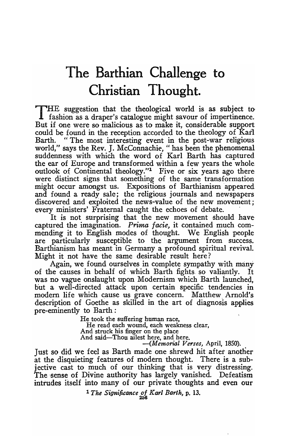## The Barthian Challenge to Christian Thought.

THE suggestion that the theological world is as subject to fashion as a draper's catalogue might savour of impertinence. But if one were so malicious as to make it, considerable support could be found in the reception accorded to the theology of  $Kar1$ Barth. "The most interesting event in the post-war religious world," says the Rev. J. McConnachie, "has been the phenomenal suddenness with which the word of Karl Barth has captured the ear of Europe and transformed within a few years the whole  $\alpha$  butlook of Continental theology."<sup>1</sup> Five or six years ago there were distinct signs that something of the same transformation might occur amongst us. Expositions of Barthianism appeared and found a ready sale; the religious journals and newspapers discovered and exploited the news-value of the new movement: every ministers' Fraternal caught the echoes of debate.

It is not surprising that the new movement should have captured the imagination. *Prima facie*, it contained much commending it to English modes of thought. We English people are particularly susceptible to the argument from success. Barthianism has meant in Germany a profound spiritual revival. Might it not have the same desirable result here?

Again, we found ourselves in complete sympathy with many of the causes in behalf of which Barth fights so valiantly. It was no vague onslaught upon Modernism which Barth launched. but a well-directed attack upon certain specific tendencies in modern life which cause us grave concern. Matthew Arnold's description of Goethe as skilled in the art of diagnosis applies pre-eminently to Barth:

He took the suffering human race,

He read each wound, each weakness clear,

And struck his finger on the place

And said-Thou ailest here, and here.

*-(Memorial Verses,* April, 1850).

Just so did we feel as Barth made one shrewd hit after another at the disquieting features of modern thought. There is a subjective cast to much of our thinking that is very distressing. The sense of Divine authority has largely vanished. Defeatism intrudes itself into many of our private thoughts and even our

<sup>1</sup> The Significance of Karl Barth, p. 13.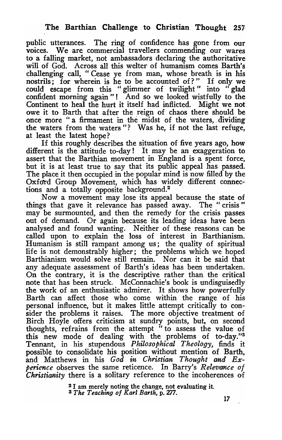public utterances. The ring of confidence has gone from our voices. We are commercial travellers commending our wares to a falling market, not ambassadors declaring the authoritative will of God. Across all this welter of humanism comes Barth's challenging call; "Cease ye from man, whose breath is in his nostrils; for wherein is he to be accounted of?" If only we could escape from this "glimmer of twilight" into "glad confident morning again"! And so we looked wistfully to the Continent to heal the hurt it itself had inflicted. Might we not owe it to Barth that after the reign of chaos there should be once more "a firmament in the midst of the waters,. dividing the waters from the waters"? Was he, if not the last refuge,

at least the latest hope?<br>If this roughly describes the situation of five years ago, how different is the attitude to-day! It may be an exaggeration to assert that the Barthian movement in England is a spent force, but it is at least true to say that its public appeal has passed. The place it then occupied in the popular mind is now filled by the Oxford Group Movement, which has widely different connections and a totally opposite background.2

Now a movement may lose its appeal because the state of things that gave it relevance has passed away. The "crisis" may be surmounted, and then the remedy for the crisis passes out of demand. Or again because its leading ideas have been analysed and found wanting. Neither of these reasons can be called upon to explain the loss of interest in Barthianism. Humanism is still rampant among us; the quality of spiritual life is not demonstrably higher; the problems which we hoped Barthianism would solve still remain. Nor can it be said that any adequate assessment of Barth's ideas has been undertaken. On the contrary, it is the descriptive rather than the critical note that has been struck. McConnachie's book is undisguisedly the work of an enthusiastic admirer. It shows how powerfully Barth can affect those who come within the range of his personal influence, but it makes little attempt critically to consider the problems it raises. The more objective treatment of Birch Hoyle offers criticism at sundry points, but, on second thoughts, refrains from the attempt "to assess the value of this new mode of dealing with the problems of to-day."s Tennant, in his stupendous *Philosophical Theology,* finds it possible to consolidate his position without mention of Barth, and Matthews in his *God in Christian Thought and Experience* observes the same reticence. In Barry's *Relevmnce of Christianity* there is a solitary reference to the incoherences of

2 I am merely noting the change, not evaluating it. <sup>S</sup>*The Teaching of Karl Barth,* p. 277.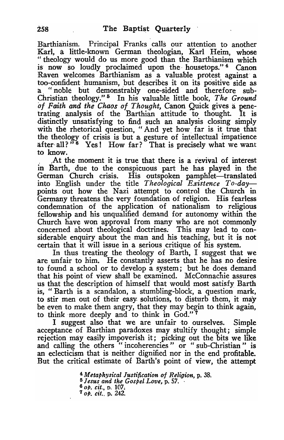Barthianism. Principal Franks calls our attention to another Karl, a little-known German theologian, Karl Heim, whose "theology would do us more good than the Barthianism which is now so loudly proclaimed upon the housetops."<sup>4</sup> Canon Raven welcomes Barthianism as a valuable protest against a too-confident humanism, but describes it on its positive side as a, "noble but demonstrably one-sided and therefore sub-Christian, theology." 5 In his valuable little, book, *The Ground of Faith and the Chaos of Thought,* Canon Quick gives a penetrating, analysis of the Barthian attitude to thought. It is distinctly unsatisfying to find such an analysis closing simply with the rhetorical question, "And yet how far is it true that the theology of crisis is but a gesture of intellectual impatience after all?" $6\text{ Yes}$ ! How far? That is precisely what we want to know.

At the moment it is true that there is a revival of interest in Barth, due to the conspicuous part he has played in the German Church crisis. His outspoken pamphlet-translated into English under the title *Theological Existence To-day*points out how the Nazi attempt to control the Church in Germany threatens the very foundation of religion. His fearless condemnation of the application of nationalism to religious fellowship and his unqualified demand for autonomy within the Church have won approval from many who are not commonly concerned about theological doctrines; This may lead to considerable enquiry about the man and his teaching, but it is not certain that it will issue in a serious critique of his system.

In thus treating the theology of Barth, I suggest that we are unfair to him. He constantly asserts that he has no desire to found a school or to develop a system; but he does demand that his point of view shall be examined. McConnachie assures us that the description of himself that would most satisfy Barth is, "Barth is a scandalon, a stumbling-block, a question mark, to stir men out of their easy. solutions, to disturb them, it may be even to make them angry, that they may begin to think again, to think more deeply and to think in God." 7

I suggest also that we are unfair to ourselves. Simple acceptance of Barthian paradoxes may stultify thought; simple rejection may easily impoverish it; picking out the bits we like and calling the others "incoherencies" or "sub-Christian" is an eclecticism that is neither dignified nor in the end profitable. But the critical estimate of Barth's point of view, the attempt

> *Metaphysical Justification of Religion,* p. 38. *Jesus and the Gospel.Love,* p. 57. . <sup>0</sup> */1\_ cit.,* o. 107\_ *0 /1 •. cit.,* p\_242.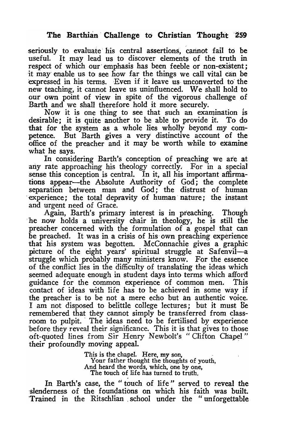seriously to evaluate his central assertions, cannot fail to be useful. It may. lead us to discover elements of the truth in respect of which our' emphasis has been feeble or non-existent; it may enable us to see how far the things we call vital can be expressed in his terms. Even if it leave us unconverted to the new teaching, it cannot leave us uninfluenced. We shall hold to our own point of view in spite of the vigorous. challenge of

Barth and we shall therefore hold it more securely.<br>Now it is one thing to see that such an examination is desirable; it is quite another to be able to provide it. To do that for the system as a whole lies wholly beyond my competence. But Barth gives a very distinctive account of the office of the preacher and it may be worth while to examine

what he says.<br>In considering Barth's conception of preaching we are at any rate approaching his theology correctly. For in a special sense this conception is central. In it, all his important affirmations appear-the Absolute Authority of God; the complete separation between man and God; the distrust of human experience: the total depravity of human nature; the instant

and urgent need of Grace.<br>Again, Barth's primary interest is in preaching. Though be now holds a university chair in theology, he is stilI the c now notes a university chair in theology, he is still the be preached. It was in a crisis of his own preaching experience be preached. It was in a crisis of his own preaching experience<br>that his system was begotten. McConnachie gives a graphic picture of the eight years' spiritual struggle at Safenvil-a struggle which probably many ministers know. For the essence of the conflict lies in the difficulty of translating the ideas which seemed adequate enough in student days into terms which afford guidance for the common experience of common men. This contact of ideas with life has to be achieved in some way if the preacher is to be not a mere echo but an authentic voice. I am not disposed to belittle college lectures; but it must be remembered that they cannot simply be transferred from classrom to pulpit . The ideas need to be transferred from class-<br>com to pulpit. The ideas need to be fertilised by experience bom to putpit. The ideas need to be refulnsed by experience.<br>Afore they reveal their significance. This it is that gives to those oft-quoted lines from Sir Henry Newbolt's "Clifton Chapel" their profoundly moving appeal.

This is the chapel.<br>his is the chapel. Here, my son,<br>Nour father thought the thoughts of youth, Your rather thought the thoughts of you And heard the words, which, one by one,<br>The touch of life has turned to truth.

In Barth's case, the "touch of life" served to reveal the 'slenderness of the foundations on which his faith was built. 'Trained in the RitschIlan. school under the "unforgettable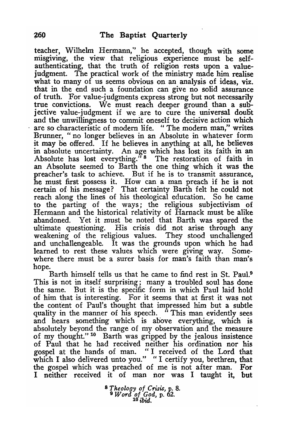teacher, Wilhelm Hermann," he accepted, though with some acher, wilhelm Hermann, he accepted, though with some misgiving, the view that religious experience must be selfauthenticating, that the truth of religion rests upon a valuejudgment. The practical work of the ministry made him realise what to many of us seems obvious on an analysis of ideas, viz. that in the end such a foundation can give no solid assurance of truth. For value-judgments express strong but not necessarily true convictions. We must reach deeper ground than a sub-<br>jective value-judgment if we are to cure the universal doubt clive value-judgment if we are to cure the universal doubt d the unwillingness to commit oneself to decisive action which<br>a so characteristic of modern life. "The modern man," writes are so characteristic of modern life. "The modern man," writes Brunner, "no longer believes in an Absolute in whatever form it may be offered. If he believes in anything at all, he believes in absolute uncertainty. An age which has lost its faith in an Absolute has lost everything.<sup>78</sup> The restoration of faith in an Absolute seemed to Barth the one thing which it was the preacher's task to achieve. But if he is to transmit assurance. he must first possess it. How can a man preach if he is not certain of his message? That certainty Barth felt he could not rtain of his message. I hat certainty Barth felt he could not ach along the lines of his theological education. So he came to the parting of the ways; the religious subjectivism of Hermann and the historical relativity of Harnack must be alike abandoned. Yet it must be noted that Barth was spared the ultimate questioning. His crisis did not arise through any weakening of the religious values. They stood unchallenged and unchallengeable. It was the grounds upon which he had learned to rest these values which were giving way. Somewhere there must be a surer basis for man's faith than man's hope. Barth himself tells us that he came to find rest in St. Pau1.9

 $\frac{1}{2}$  barth nimself tells us that he came to find rest in St. Paul. This is not in itself surprising; many a troubled soul has done the same. But it is the specific form in which Paul laid hold of him that is interesting. For it seems that at first it was not the content of Paul's thought that impressed him but a subtle quality in the manner of his speech.  $\alpha$  This man evidently sees and hears something which is above everything, which is absolutely beyond the range of my observation and the measure of my thought."<sup>10</sup> Barth was gripped by the jealous insistence of Paul that he had received neither his ordination nor his spel at the hands of man. "I received of the Lord that the gospel which was preached of me is not after man. For the gospel which was preached of me is not after man. For<br>I neither received it of man nor was I taught it, but

rheology of Crisis, p. 8.<br>*Word <u>of Go</u>d,* p. 62.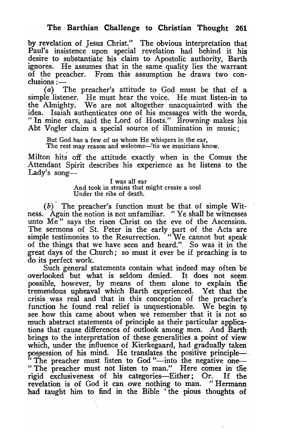by revelation of Jesus Christ." The obvious interpretation that Paul's insistence upon special revelation had behind it his desire to substantiate his claim to Apostolic authority, Barth ignores. He assumes that in the same quality lies the warrant of the preacher. From this assumption he draws two con-<br>clusions :-

*(a)* The preacher's attitude to God must be that of a simple listener. He must hear the voice. He must listen-in to the Almighty. We are not altogether unacquainted with the idea. Isaiah authenticates one of his messages with the words, "In mine ears, said the Lord of Hosts." Browning- makes his Abt Vogler claim a special source of illumination in music;

But God has a few of us whom He whispers in the ear,

The rest may reason and welcome—'tis we musicians know.

Milton hits off the attitude exactly when in the Comus the Attendant Spirit describes his experience as he listens to the Lady's song-

> I was all ear And took in strains that might create a soul Under the ribs of death.

 $(b)$  The preacher's function must be that of simple Witness. Again the notion is not unfamiliar. "Ye shall be witnesses unto Me" says the risen Christ on the eve of the Ascension. The sermons of St. Peter in the early part of the Acts are simple testimonies to the Resurrection. " We cannot but speak of the things that we have seen and heard." So was it in the great days of the Church; so must it ever be if preaching is to do its perfect work.

Such general statements contain what indeed may often be overlooked but what is seldom denied. It does not seem possible, however, by means of them alone to explain the tremendous upheaval which Barth experienced. Yet that the crisis was real and that in this conception of the preacher's function he found real relief is unquestionable. We begin to see how this came about when we remember that it is not so much abstract statements of principle as their particular applications that cause differences of outlook among men. And Barth brings to the interpretation of these generalities a point of view which, under the influence of Kierkegaard, had gradually taken possession of his mind. He translates the positive principle-The preacher must listen to God "-into the negative one-"The preacher must not listen to man." Here comes in the rigid exclusiveness of his categories-Either; Or. If the revelation is of God it can owe nothing to man. " Hermann had taught him to find in the Bible 'the pious thoughts of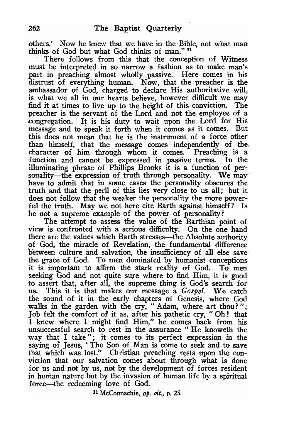others.' Now he knew that we have in the. Bible, not what man thinks of God but what God thinks of man." 11

There follows from this that the conception of Witness must be interpreted in so narrow a fashion as to make man's part in preaching almost wholly passive. Here comes in his distrust of everything human. Now, that the preacher is the ambassador of God, charged to declare His authoritative will, is what we all in our hearts believe, however difficult we may find it at times to live up to the height of this conviction. The preacher is the servant of the Lord and not the employee of a congregation. It is his duty to wait upon the Lord for His message and to speak it forth when it comes as it comes. But this does not mean that he is the instrument of a force other than himself, that the message comes independently of the, character of him through whom it comes. Preaching is a function and cannot be expressed in passive terms. In the illuminating phrase of Phillips Brooks it is a function of personality—the expression of truth through personality. We may have to admit that in some cases the personality obscures the truth and that the peril of this lies very close to us all; but it does not follow that the weaker the personality the more powerful the truth. May we not here cite Barth against himself? Is he not a supreme example of the power of personality?

The attempt to assess the value of the Barthian point of view is confronted with a serious difficulty. On the one hand there are the values which Barth stresses-the Absolute authority of God, the miracle of Revelation, the fundamental difference between culture and salvation, the insufficiency of all else save the grace of God. To men dominated by humanist conceptions it is important to affirm the stark reality of God. To men seeking God and not quite sure where to find Him, it is good to assert that, after all, the supreme thing is God's search for us. This it is that makes our message a *Gospel.* We catch the sound of it in the early chapters of Genesis, where God walks in the garden with the cry, "Adam, where art thou?"; values in the garden with the cry, Truann, where are thou:<br>Job felt the comfort of it as, after his pathetic cry, "Oh! that I knew where I might find Him," he comes back from. his unsuccessful search to rest in the assurance "He knoweth the way that I take"; it comes to its perfect expression in the as that I take  $\frac{1}{2}$ , it comes to its perfect expression in the that which was lost." Christian preaching rests upon the conviction that our salvation comes about through what is done for us and not by us, not by the development of forces resident in human nature but by the invasion of human life by a spiritual force-the redeeming love of God.

. 11 McConnachie, *op. cit.,* p. 25.